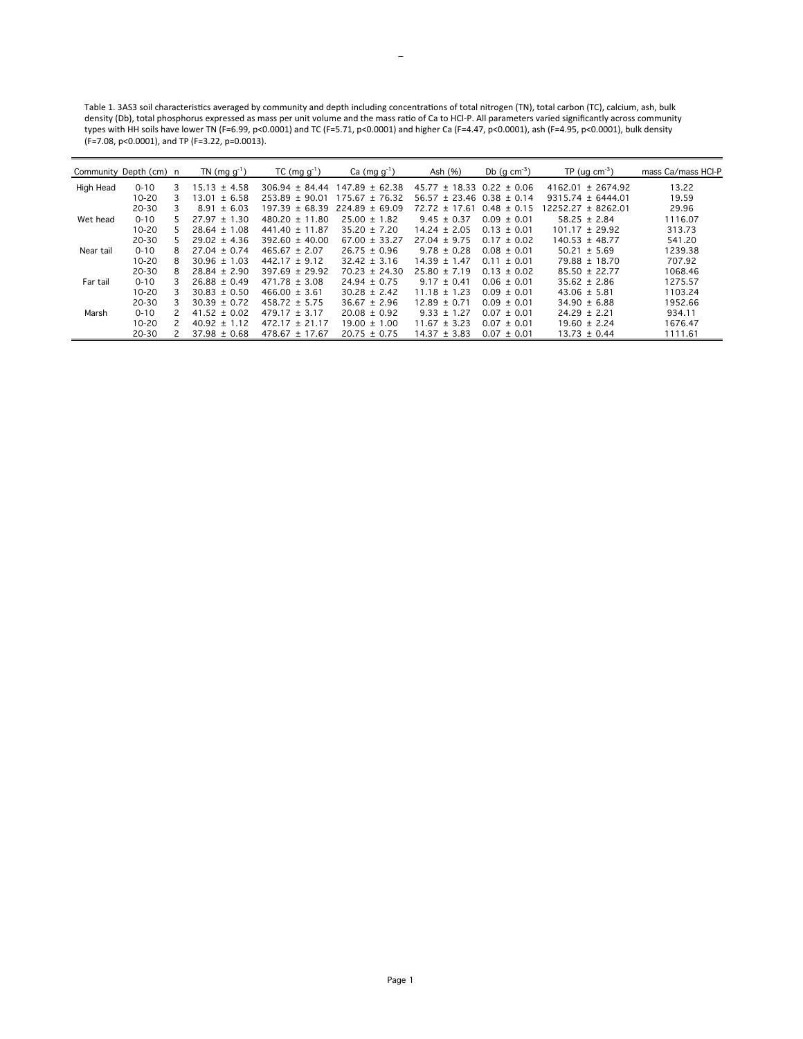Table 1. 3AS3 soil characteristics averaged by community and depth including concentrations of total nitrogen (TN), total carbon (TC), calcium, ash, bulk density (Db), total phosphorus expressed as mass per unit volume and the mass ratio of Ca to HCl-P. All parameters varied significantly across community types with HH soils have lower TN (F=6.99, p<0.0001) and TC (F=5.71, p<0.0001) and higher Ca (F=4.47, p<0.0001), ash (F=4.95, p<0.0001), bulk density (F=7.08, p<0.0001), and TP (F=3.22, p=0.0013).

|           | Community Depth (cm) n |    | TN $(mg g^{-1})$ | $TC$ (mg $g^{-1}$ ) | Ca $(mg g^{-1})$   | Ash (%)                           | Db $(g \text{ cm}^{-3})$ | $TP (uq cm-3)$        | mass Ca/mass HCI-P |
|-----------|------------------------|----|------------------|---------------------|--------------------|-----------------------------------|--------------------------|-----------------------|--------------------|
| High Head | $0 - 10$               | 3  | $15.13 \pm 4.58$ | $306.94 \pm 84.44$  | $147.89 \pm 62.38$ | $45.77 \pm 18.33$ 0.22 $\pm$ 0.06 |                          | $4162.01 \pm 2674.92$ | 13.22              |
|           | $10 - 20$              | 3  | $13.01 \pm 6.58$ | $253.89 \pm 90.01$  | $175.67 \pm 76.32$ | $56.57 \pm 23.46$ 0.38 $\pm$ 0.14 |                          | $9315.74 \pm 6444.01$ | 19.59              |
|           | $20 - 30$              | 3  | ± 6.03<br>8.91   | $197.39 \pm 68.39$  | $224.89 \pm 69.09$ | $72.72 \pm 17.61$                 | $0.48 \pm 0.15$          | $2252.27 \pm 8262.01$ | 29.96              |
| Wet head  | $0 - 10$               | 5. | $27.97 \pm 1.30$ | $480.20 \pm 11.80$  | $25.00 \pm 1.82$   | $9.45 \pm 0.37$                   | $0.09 \pm 0.01$          | $58.25 \pm 2.84$      | 1116.07            |
|           | $10 - 20$              |    | $28.64 \pm 1.08$ | $441.40 \pm 11.87$  | $35.20 \pm 7.20$   | $14.24 \pm 2.05$                  | $0.13 \pm 0.01$          | $101.17 \pm 29.92$    | 313.73             |
|           | 20-30                  | 5. | $29.02 \pm 4.36$ | $392.60 \pm 40.00$  | $67.00 \pm 33.27$  | $27.04 \pm 9.75$                  | $0.17 \pm 0.02$          | $140.53 \pm 48.77$    | 541.20             |
| Near tail | $0 - 10$               | 8  | $27.04 \pm 0.74$ | $465.67 \pm 2.07$   | $26.75 \pm 0.96$   | $9.78 \pm 0.28$                   | $0.08 \pm 0.01$          | $50.21 \pm 5.69$      | 1239.38            |
|           | $10 - 20$              | 8  | $30.96 \pm 1.03$ | $442.17 \pm 9.12$   | $32.42 \pm 3.16$   | $14.39 \pm 1.47$                  | $0.11 \pm 0.01$          | $79.88 \pm 18.70$     | 707.92             |
|           | $20 - 30$              | 8  | $28.84 \pm 2.90$ | $397.69 \pm 29.92$  | $70.23 \pm 24.30$  | $25.80 \pm 7.19$                  | $0.13 \pm 0.02$          | $85.50 \pm 22.77$     | 1068.46            |
| Far tail  | $0 - 10$               | 3  | $26.88 \pm 0.49$ | $471.78 \pm 3.08$   | $24.94 \pm 0.75$   | $9.17 \pm 0.41$                   | $0.06 \pm 0.01$          | $35.62 \pm 2.86$      | 1275.57            |
|           | $10 - 20$              | 3  | $30.83 \pm 0.50$ | $466.00 \pm 3.61$   | $30.28 \pm 2.42$   | $11.18 \pm 1.23$                  | $0.09 \pm 0.01$          | $43.06 \pm 5.81$      | 1103.24            |
|           | 20-30                  | 3  | $30.39 \pm 0.72$ | $458.72 \pm 5.75$   | $36.67 \pm 2.96$   | $12.89 \pm 0.71$                  | $0.09 \pm 0.01$          | $34.90 \pm 6.88$      | 1952.66            |
| Marsh     | $0 - 10$               |    | $41.52 \pm 0.02$ | $479.17 \pm 3.17$   | $20.08 \pm 0.92$   | $9.33 \pm 1.27$                   | $0.07 \pm 0.01$          | $24.29 \pm 2.21$      | 934.11             |
|           | $10 - 20$              |    | $40.92 \pm 1.12$ | $472.17 \pm 21.17$  | $19.00 \pm 1.00$   | $11.67 \pm 3.23$                  | $0.07 \pm 0.01$          | $19.60 \pm 2.24$      | 1676.47            |
|           | 20-30                  |    | $37.98 \pm 0.68$ | $478.67 \pm 17.67$  | $20.75 \pm 0.75$   | $14.37 \pm 3.83$                  | $0.07 \pm 0.01$          | $13.73 \pm 0.44$      | 1111.61            |